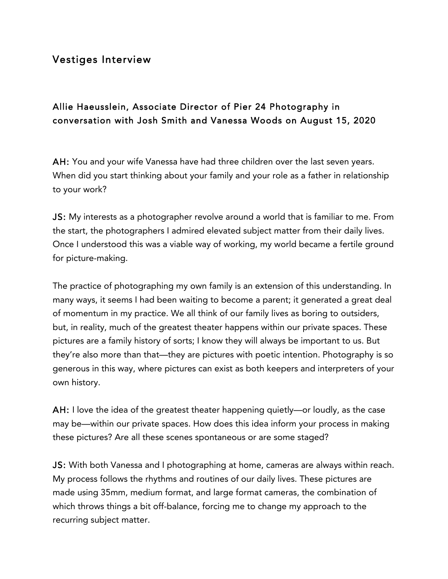## Vestiges Interview

## Allie Haeusslein, Associate Director of Pier 24 Photography in conversation with Josh Smith and Vanessa Woods on August 15, 2020

AH: You and your wife Vanessa have had three children over the last seven years. When did you start thinking about your family and your role as a father in relationship to your work?

JS: My interests as a photographer revolve around a world that is familiar to me. From the start, the photographers I admired elevated subject matter from their daily lives. Once I understood this was a viable way of working, my world became a fertile ground for picture-making.

The practice of photographing my own family is an extension of this understanding. In many ways, it seems I had been waiting to become a parent; it generated a great deal of momentum in my practice. We all think of our family lives as boring to outsiders, but, in reality, much of the greatest theater happens within our private spaces. These pictures are a family history of sorts; I know they will always be important to us. But they're also more than that—they are pictures with poetic intention. Photography is so generous in this way, where pictures can exist as both keepers and interpreters of your own history.

AH: I love the idea of the greatest theater happening quietly—or loudly, as the case may be—within our private spaces. How does this idea inform your process in making these pictures? Are all these scenes spontaneous or are some staged?

JS: With both Vanessa and I photographing at home, cameras are always within reach. My process follows the rhythms and routines of our daily lives. These pictures are made using 35mm, medium format, and large format cameras, the combination of which throws things a bit off-balance, forcing me to change my approach to the recurring subject matter.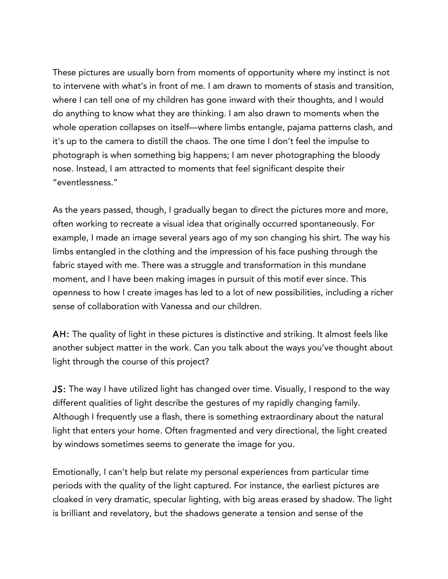These pictures are usually born from moments of opportunity where my instinct is not to intervene with what's in front of me. I am drawn to moments of stasis and transition, where I can tell one of my children has gone inward with their thoughts, and I would do anything to know what they are thinking. I am also drawn to moments when the whole operation collapses on itself—where limbs entangle, pajama patterns clash, and it's up to the camera to distill the chaos. The one time I don't feel the impulse to photograph is when something big happens; I am never photographing the bloody nose. Instead, I am attracted to moments that feel significant despite their "eventlessness."

As the years passed, though, I gradually began to direct the pictures more and more, often working to recreate a visual idea that originally occurred spontaneously. For example, I made an image several years ago of my son changing his shirt. The way his limbs entangled in the clothing and the impression of his face pushing through the fabric stayed with me. There was a struggle and transformation in this mundane moment, and I have been making images in pursuit of this motif ever since. This openness to how I create images has led to a lot of new possibilities, including a richer sense of collaboration with Vanessa and our children.

AH: The quality of light in these pictures is distinctive and striking. It almost feels like another subject matter in the work. Can you talk about the ways you've thought about light through the course of this project?

JS: The way I have utilized light has changed over time. Visually, I respond to the way different qualities of light describe the gestures of my rapidly changing family. Although I frequently use a flash, there is something extraordinary about the natural light that enters your home. Often fragmented and very directional, the light created by windows sometimes seems to generate the image for you.

Emotionally, I can't help but relate my personal experiences from particular time periods with the quality of the light captured. For instance, the earliest pictures are cloaked in very dramatic, specular lighting, with big areas erased by shadow. The light is brilliant and revelatory, but the shadows generate a tension and sense of the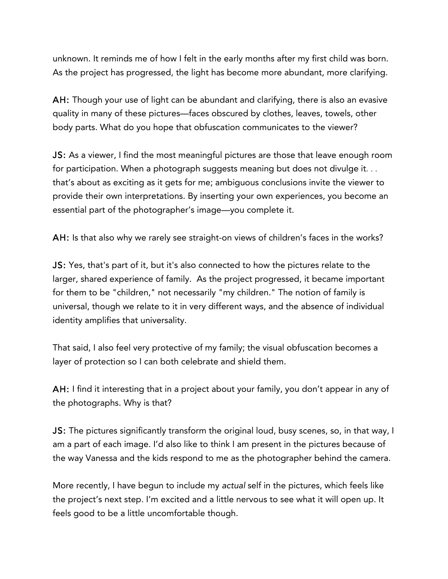unknown. It reminds me of how I felt in the early months after my first child was born. As the project has progressed, the light has become more abundant, more clarifying.

AH: Though your use of light can be abundant and clarifying, there is also an evasive quality in many of these pictures—faces obscured by clothes, leaves, towels, other body parts. What do you hope that obfuscation communicates to the viewer?

JS: As a viewer, I find the most meaningful pictures are those that leave enough room for participation. When a photograph suggests meaning but does not divulge it... that's about as exciting as it gets for me; ambiguous conclusions invite the viewer to provide their own interpretations. By inserting your own experiences, you become an essential part of the photographer's image—you complete it.

AH: Is that also why we rarely see straight-on views of children's faces in the works?

JS: Yes, that's part of it, but it's also connected to how the pictures relate to the larger, shared experience of family. As the project progressed, it became important for them to be "children," not necessarily "my children." The notion of family is universal, though we relate to it in very different ways, and the absence of individual identity amplifies that universality.

That said, I also feel very protective of my family; the visual obfuscation becomes a layer of protection so I can both celebrate and shield them.

AH: I find it interesting that in a project about your family, you don't appear in any of the photographs. Why is that?

JS: The pictures significantly transform the original loud, busy scenes, so, in that way, I am a part of each image. I'd also like to think I am present in the pictures because of the way Vanessa and the kids respond to me as the photographer behind the camera.

More recently, I have begun to include my *actual* self in the pictures, which feels like the project's next step. I'm excited and a little nervous to see what it will open up. It feels good to be a little uncomfortable though.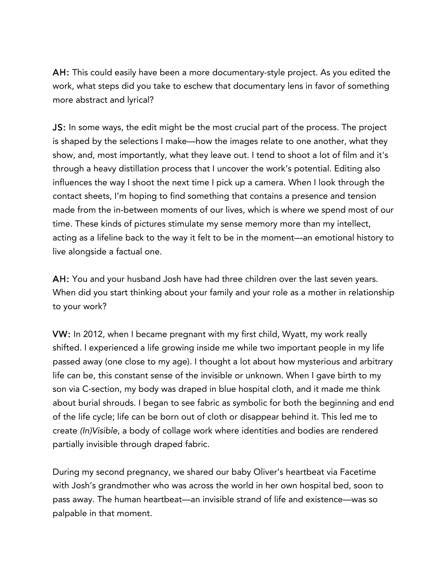AH: This could easily have been a more documentary-style project. As you edited the work, what steps did you take to eschew that documentary lens in favor of something more abstract and lyrical?

JS: In some ways, the edit might be the most crucial part of the process. The project is shaped by the selections I make—how the images relate to one another, what they show, and, most importantly, what they leave out. I tend to shoot a lot of film and it's through a heavy distillation process that I uncover the work's potential. Editing also influences the way I shoot the next time I pick up a camera. When I look through the contact sheets, I'm hoping to find something that contains a presence and tension made from the in-between moments of our lives, which is where we spend most of our time. These kinds of pictures stimulate my sense memory more than my intellect, acting as a lifeline back to the way it felt to be in the moment—an emotional history to live alongside a factual one.

AH: You and your husband Josh have had three children over the last seven years. When did you start thinking about your family and your role as a mother in relationship to your work?

VW: In 2012, when I became pregnant with my first child, Wyatt, my work really shifted. I experienced a life growing inside me while two important people in my life passed away (one close to my age). I thought a lot about how mysterious and arbitrary life can be, this constant sense of the invisible or unknown. When I gave birth to my son via C-section, my body was draped in blue hospital cloth, and it made me think about burial shrouds. I began to see fabric as symbolic for both the beginning and end of the life cycle; life can be born out of cloth or disappear behind it. This led me to create *(In)Visible*, a body of collage work where identities and bodies are rendered partially invisible through draped fabric.

During my second pregnancy, we shared our baby Oliver's heartbeat via Facetime with Josh's grandmother who was across the world in her own hospital bed, soon to pass away. The human heartbeat—an invisible strand of life and existence—was so palpable in that moment.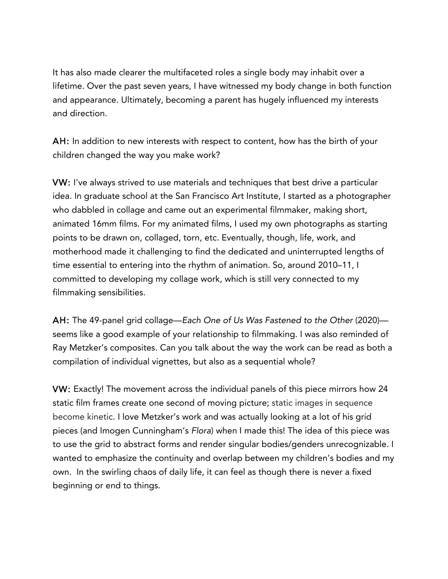It has also made clearer the multifaceted roles a single body may inhabit over a lifetime. Over the past seven years, I have witnessed my body change in both function and appearance. Ultimately, becoming a parent has hugely influenced my interests and direction.

AH: In addition to new interests with respect to content, how has the birth of your children changed the way you make work?

VW: I've always strived to use materials and techniques that best drive a particular idea. In graduate school at the San Francisco Art Institute, I started as a photographer who dabbled in collage and came out an experimental filmmaker, making short, animated 16mm films. For my animated films, I used my own photographs as starting points to be drawn on, collaged, torn, etc. Eventually, though, life, work, and motherhood made it challenging to find the dedicated and uninterrupted lengths of time essential to entering into the rhythm of animation. So, around 2010–11, I committed to developing my collage work, which is still very connected to my filmmaking sensibilities.

AH: The 49-panel grid collage—*Each One of Us Was Fastened to the Other* (2020) seems like a good example of your relationship to filmmaking. I was also reminded of Ray Metzker's composites. Can you talk about the way the work can be read as both a compilation of individual vignettes, but also as a sequential whole?

VW: Exactly! The movement across the individual panels of this piece mirrors how 24 static film frames create one second of moving picture; static images in sequence become kinetic. I love Metzker's work and was actually looking at a lot of his grid pieces (and Imogen Cunningham's *Flora*) when I made this! The idea of this piece was to use the grid to abstract forms and render singular bodies/genders unrecognizable. I wanted to emphasize the continuity and overlap between my children's bodies and my own. In the swirling chaos of daily life, it can feel as though there is never a fixed beginning or end to things.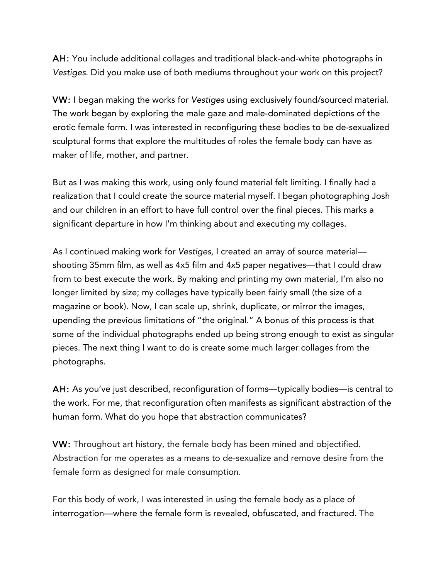AH: You include additional collages and traditional black-and-white photographs in *Vestiges*. Did you make use of both mediums throughout your work on this project?

VW: I began making the works for *Vestiges* using exclusively found/sourced material. The work began by exploring the male gaze and male-dominated depictions of the erotic female form. I was interested in reconfiguring these bodies to be de-sexualized sculptural forms that explore the multitudes of roles the female body can have as maker of life, mother, and partner.

But as I was making this work, using only found material felt limiting. I finally had a realization that I could create the source material myself. I began photographing Josh and our children in an effort to have full control over the final pieces. This marks a significant departure in how I'm thinking about and executing my collages.

As I continued making work for *Vestiges,* I created an array of source material shooting 35mm film, as well as 4x5 film and 4x5 paper negatives—that I could draw from to best execute the work. By making and printing my own material, I'm also no longer limited by size; my collages have typically been fairly small (the size of a magazine or book). Now, I can scale up, shrink, duplicate, or mirror the images, upending the previous limitations of "the original." A bonus of this process is that some of the individual photographs ended up being strong enough to exist as singular pieces. The next thing I want to do is create some much larger collages from the photographs.

AH: As you've just described, reconfiguration of forms—typically bodies—is central to the work. For me, that reconfiguration often manifests as significant abstraction of the human form. What do you hope that abstraction communicates?

VW: Throughout art history, the female body has been mined and objectified. Abstraction for me operates as a means to de-sexualize and remove desire from the female form as designed for male consumption.

For this body of work, I was interested in using the female body as a place of interrogation—where the female form is revealed, obfuscated, and fractured. The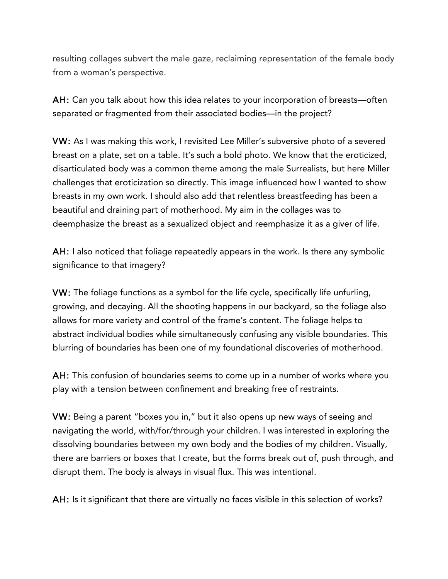resulting collages subvert the male gaze, reclaiming representation of the female body from a woman's perspective.

AH: Can you talk about how this idea relates to your incorporation of breasts—often separated or fragmented from their associated bodies—in the project?

VW: As I was making this work, I revisited Lee Miller's subversive photo of a severed breast on a plate, set on a table. It's such a bold photo. We know that the eroticized, disarticulated body was a common theme among the male Surrealists, but here Miller challenges that eroticization so directly. This image influenced how I wanted to show breasts in my own work. I should also add that relentless breastfeeding has been a beautiful and draining part of motherhood. My aim in the collages was to deemphasize the breast as a sexualized object and reemphasize it as a giver of life.

AH: I also noticed that foliage repeatedly appears in the work. Is there any symbolic significance to that imagery?

VW: The foliage functions as a symbol for the life cycle, specifically life unfurling, growing, and decaying. All the shooting happens in our backyard, so the foliage also allows for more variety and control of the frame's content. The foliage helps to abstract individual bodies while simultaneously confusing any visible boundaries. This blurring of boundaries has been one of my foundational discoveries of motherhood.

AH: This confusion of boundaries seems to come up in a number of works where you play with a tension between confinement and breaking free of restraints.

VW: Being a parent "boxes you in," but it also opens up new ways of seeing and navigating the world, with/for/through your children. I was interested in exploring the dissolving boundaries between my own body and the bodies of my children. Visually, there are barriers or boxes that I create, but the forms break out of, push through, and disrupt them. The body is always in visual flux. This was intentional.

AH: Is it significant that there are virtually no faces visible in this selection of works?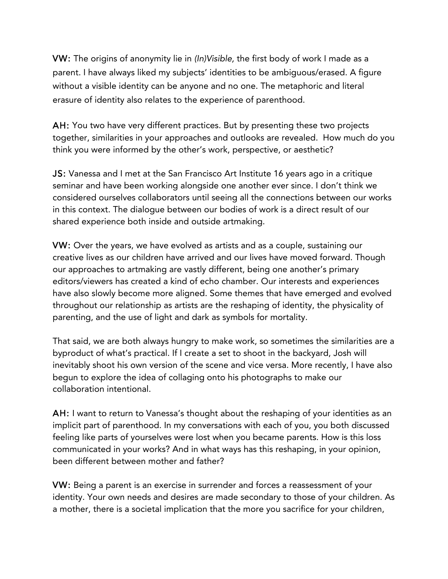VW: The origins of anonymity lie in *(In)Visible,* the first body of work I made as a parent. I have always liked my subjects' identities to be ambiguous/erased. A figure without a visible identity can be anyone and no one. The metaphoric and literal erasure of identity also relates to the experience of parenthood.

AH: You two have very different practices. But by presenting these two projects together, similarities in your approaches and outlooks are revealed. How much do you think you were informed by the other's work, perspective, or aesthetic?

JS: Vanessa and I met at the San Francisco Art Institute 16 years ago in a critique seminar and have been working alongside one another ever since. I don't think we considered ourselves collaborators until seeing all the connections between our works in this context. The dialogue between our bodies of work is a direct result of our shared experience both inside and outside artmaking.

VW: Over the years, we have evolved as artists and as a couple, sustaining our creative lives as our children have arrived and our lives have moved forward. Though our approaches to artmaking are vastly different, being one another's primary editors/viewers has created a kind of echo chamber. Our interests and experiences have also slowly become more aligned. Some themes that have emerged and evolved throughout our relationship as artists are the reshaping of identity, the physicality of parenting, and the use of light and dark as symbols for mortality.

That said, we are both always hungry to make work, so sometimes the similarities are a byproduct of what's practical. If I create a set to shoot in the backyard, Josh will inevitably shoot his own version of the scene and vice versa. More recently, I have also begun to explore the idea of collaging onto his photographs to make our collaboration intentional.

AH: I want to return to Vanessa's thought about the reshaping of your identities as an implicit part of parenthood. In my conversations with each of you, you both discussed feeling like parts of yourselves were lost when you became parents. How is this loss communicated in your works? And in what ways has this reshaping, in your opinion, been different between mother and father?

VW: Being a parent is an exercise in surrender and forces a reassessment of your identity. Your own needs and desires are made secondary to those of your children. As a mother, there is a societal implication that the more you sacrifice for your children,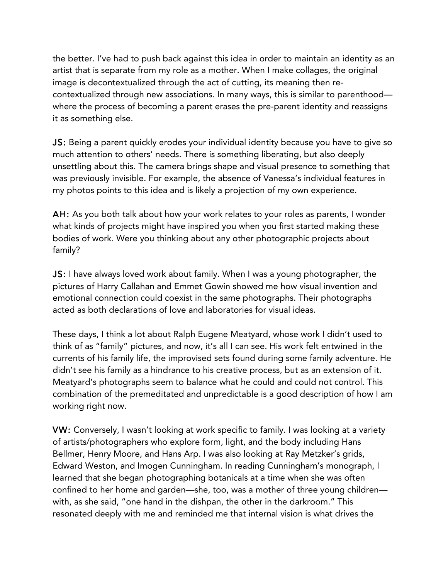the better. I've had to push back against this idea in order to maintain an identity as an artist that is separate from my role as a mother. When I make collages, the original image is decontextualized through the act of cutting, its meaning then recontextualized through new associations. In many ways, this is similar to parenthood where the process of becoming a parent erases the pre-parent identity and reassigns it as something else.

JS: Being a parent quickly erodes your individual identity because you have to give so much attention to others' needs. There is something liberating, but also deeply unsettling about this. The camera brings shape and visual presence to something that was previously invisible. For example, the absence of Vanessa's individual features in my photos points to this idea and is likely a projection of my own experience.

AH: As you both talk about how your work relates to your roles as parents, I wonder what kinds of projects might have inspired you when you first started making these bodies of work. Were you thinking about any other photographic projects about family?

JS: I have always loved work about family. When I was a young photographer, the pictures of Harry Callahan and Emmet Gowin showed me how visual invention and emotional connection could coexist in the same photographs. Their photographs acted as both declarations of love and laboratories for visual ideas.

These days, I think a lot about Ralph Eugene Meatyard, whose work I didn't used to think of as "family" pictures, and now, it's all I can see. His work felt entwined in the currents of his family life, the improvised sets found during some family adventure. He didn't see his family as a hindrance to his creative process, but as an extension of it. Meatyard's photographs seem to balance what he could and could not control. This combination of the premeditated and unpredictable is a good description of how I am working right now.

VW: Conversely, I wasn't looking at work specific to family. I was looking at a variety of artists/photographers who explore form, light, and the body including Hans Bellmer, Henry Moore, and Hans Arp. I was also looking at Ray Metzker's grids, Edward Weston, and Imogen Cunningham. In reading Cunningham's monograph, I learned that she began photographing botanicals at a time when she was often confined to her home and garden—she, too, was a mother of three young children with, as she said, "one hand in the dishpan, the other in the darkroom." This resonated deeply with me and reminded me that internal vision is what drives the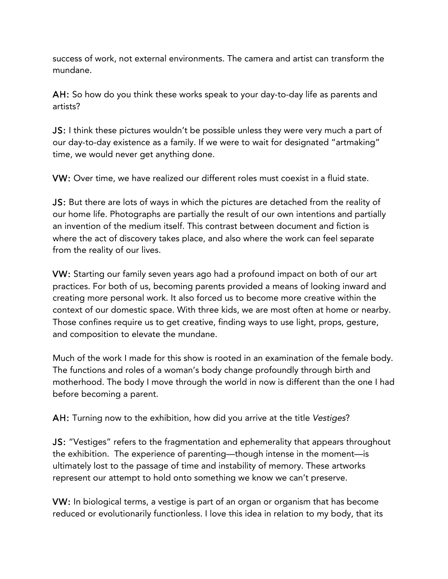success of work, not external environments. The camera and artist can transform the mundane.

AH: So how do you think these works speak to your day-to-day life as parents and artists?

JS: I think these pictures wouldn't be possible unless they were very much a part of our day-to-day existence as a family. If we were to wait for designated "artmaking" time, we would never get anything done.

VW: Over time, we have realized our different roles must coexist in a fluid state.

JS: But there are lots of ways in which the pictures are detached from the reality of our home life. Photographs are partially the result of our own intentions and partially an invention of the medium itself. This contrast between document and fiction is where the act of discovery takes place, and also where the work can feel separate from the reality of our lives.

VW: Starting our family seven years ago had a profound impact on both of our art practices. For both of us, becoming parents provided a means of looking inward and creating more personal work. It also forced us to become more creative within the context of our domestic space. With three kids, we are most often at home or nearby. Those confines require us to get creative, finding ways to use light, props, gesture, and composition to elevate the mundane.

Much of the work I made for this show is rooted in an examination of the female body. The functions and roles of a woman's body change profoundly through birth and motherhood. The body I move through the world in now is different than the one I had before becoming a parent.

AH: Turning now to the exhibition, how did you arrive at the title *Vestiges*?

JS: "Vestiges" refers to the fragmentation and ephemerality that appears throughout the exhibition. The experience of parenting—though intense in the moment—is ultimately lost to the passage of time and instability of memory. These artworks represent our attempt to hold onto something we know we can't preserve.

VW: In biological terms, a vestige is part of an organ or organism that has become reduced or evolutionarily functionless. I love this idea in relation to my body, that its